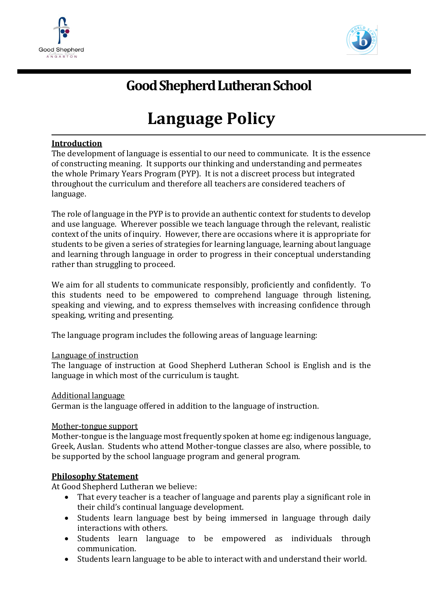



# **Good Shepherd Lutheran School**

# **Language Policy**

# **Introduction**

The development of language is essential to our need to communicate. It is the essence of constructing meaning. It supports our thinking and understanding and permeates the whole Primary Years Program (PYP). It is not a discreet process but integrated throughout the curriculum and therefore all teachers are considered teachers of language.

The role of language in the PYP is to provide an authentic context for students to develop and use language. Wherever possible we teach language through the relevant, realistic context of the units of inquiry. However, there are occasions where it is appropriate for students to be given a series of strategies for learning language, learning about language and learning through language in order to progress in their conceptual understanding rather than struggling to proceed.

We aim for all students to communicate responsibly, proficiently and confidently. To this students need to be empowered to comprehend language through listening, speaking and viewing, and to express themselves with increasing confidence through speaking, writing and presenting.

The language program includes the following areas of language learning:

#### Language of instruction

The language of instruction at Good Shepherd Lutheran School is English and is the language in which most of the curriculum is taught.

#### Additional language

German is the language offered in addition to the language of instruction.

#### Mother-tongue support

Mother-tongue is the language most frequently spoken at home eg: indigenous language, Greek, Auslan. Students who attend Mother-tongue classes are also, where possible, to be supported by the school language program and general program.

#### **Philosophy Statement**

At Good Shepherd Lutheran we believe:

- That every teacher is a teacher of language and parents play a significant role in their child's continual language development.
- Students learn language best by being immersed in language through daily interactions with others.
- Students learn language to be empowered as individuals through communication.
- Students learn language to be able to interact with and understand their world.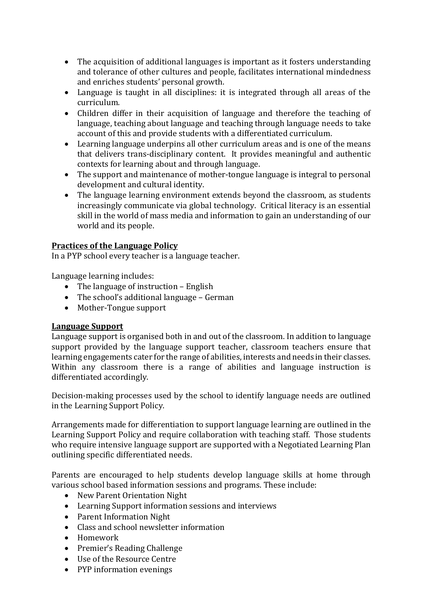- The acquisition of additional languages is important as it fosters understanding and tolerance of other cultures and people, facilitates international mindedness and enriches students' personal growth.
- Language is taught in all disciplines: it is integrated through all areas of the curriculum.
- Children differ in their acquisition of language and therefore the teaching of language, teaching about language and teaching through language needs to take account of this and provide students with a differentiated curriculum.
- Learning language underpins all other curriculum areas and is one of the means that delivers trans-disciplinary content. It provides meaningful and authentic contexts for learning about and through language.
- The support and maintenance of mother-tongue language is integral to personal development and cultural identity.
- The language learning environment extends beyond the classroom, as students increasingly communicate via global technology. Critical literacy is an essential skill in the world of mass media and information to gain an understanding of our world and its people.

# **Practices of the Language Policy**

In a PYP school every teacher is a language teacher.

Language learning includes:

- The language of instruction English
- The school's additional language German
- Mother-Tongue support

# **Language Support**

Language support is organised both in and out of the classroom. In addition to language support provided by the language support teacher, classroom teachers ensure that learning engagements cater for the range of abilities, interests and needs in their classes. Within any classroom there is a range of abilities and language instruction is differentiated accordingly.

Decision-making processes used by the school to identify language needs are outlined in the Learning Support Policy.

Arrangements made for differentiation to support language learning are outlined in the Learning Support Policy and require collaboration with teaching staff. Those students who require intensive language support are supported with a Negotiated Learning Plan outlining specific differentiated needs.

Parents are encouraged to help students develop language skills at home through various school based information sessions and programs. These include:

- New Parent Orientation Night
- Learning Support information sessions and interviews
- Parent Information Night
- Class and school newsletter information
- Homework
- Premier's Reading Challenge
- Use of the Resource Centre
- PYP information evenings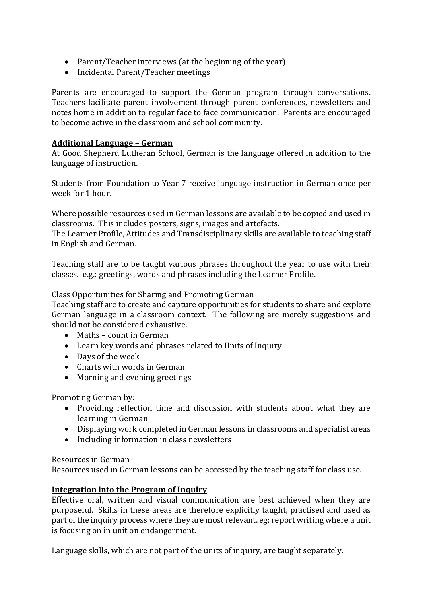- Parent/Teacher interviews (at the beginning of the year)
- Incidental Parent/Teacher meetings

Parents are encouraged to support the German program through conversations. Teachers facilitate parent involvement through parent conferences, newsletters and notes home in addition to regular face to face communication. Parents are encouraged to become active in the classroom and school community.

### **Additional Language – German**

At Good Shepherd Lutheran School, German is the language offered in addition to the language of instruction.

Students from Foundation to Year 7 receive language instruction in German once per week for 1 hour.

Where possible resources used in German lessons are available to be copied and used in classrooms. This includes posters, signs, images and artefacts.

The Learner Profile, Attitudes and Transdisciplinary skills are available to teaching staff in English and German.

Teaching staff are to be taught various phrases throughout the year to use with their classes. e.g.: greetings, words and phrases including the Learner Profile.

#### Class Opportunities for Sharing and Promoting German

Teaching staff are to create and capture opportunities for students to share and explore German language in a classroom context. The following are merely suggestions and should not be considered exhaustive.

- Maths count in German
- Learn key words and phrases related to Units of Inquiry
- Days of the week
- Charts with words in German
- Morning and evening greetings

Promoting German by:

- Providing reflection time and discussion with students about what they are learning in German
- Displaying work completed in German lessons in classrooms and specialist areas
- Including information in class newsletters

#### Resources in German

Resources used in German lessons can be accessed by the teaching staff for class use.

#### **Integration into the Program of Inquiry**

Effective oral, written and visual communication are best achieved when they are purposeful. Skills in these areas are therefore explicitly taught, practised and used as part of the inquiry process where they are most relevant. eg; report writing where a unit is focusing on in unit on endangerment.

Language skills, which are not part of the units of inquiry, are taught separately.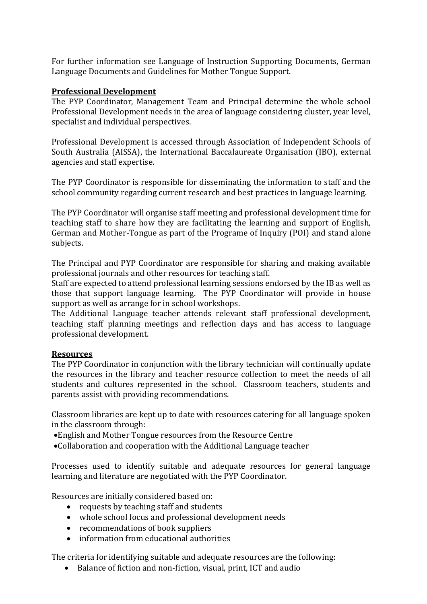For further information see Language of Instruction Supporting Documents, German Language Documents and Guidelines for Mother Tongue Support.

## **Professional Development**

The PYP Coordinator, Management Team and Principal determine the whole school Professional Development needs in the area of language considering cluster, year level, specialist and individual perspectives.

Professional Development is accessed through Association of Independent Schools of South Australia (AISSA), the International Baccalaureate Organisation (IBO), external agencies and staff expertise.

The PYP Coordinator is responsible for disseminating the information to staff and the school community regarding current research and best practices in language learning.

The PYP Coordinator will organise staff meeting and professional development time for teaching staff to share how they are facilitating the learning and support of English, German and Mother-Tongue as part of the Programe of Inquiry (POI) and stand alone subjects.

The Principal and PYP Coordinator are responsible for sharing and making available professional journals and other resources for teaching staff.

Staff are expected to attend professional learning sessions endorsed by the IB as well as those that support language learning. The PYP Coordinator will provide in house support as well as arrange for in school workshops.

The Additional Language teacher attends relevant staff professional development, teaching staff planning meetings and reflection days and has access to language professional development.

# **Resources**

The PYP Coordinator in conjunction with the library technician will continually update the resources in the library and teacher resource collection to meet the needs of all students and cultures represented in the school. Classroom teachers, students and parents assist with providing recommendations.

Classroom libraries are kept up to date with resources catering for all language spoken in the classroom through:

- English and Mother Tongue resources from the Resource Centre
- Collaboration and cooperation with the Additional Language teacher

Processes used to identify suitable and adequate resources for general language learning and literature are negotiated with the PYP Coordinator.

Resources are initially considered based on:

- requests by teaching staff and students
- whole school focus and professional development needs
- recommendations of book suppliers
- information from educational authorities

The criteria for identifying suitable and adequate resources are the following:

Balance of fiction and non-fiction, visual, print, ICT and audio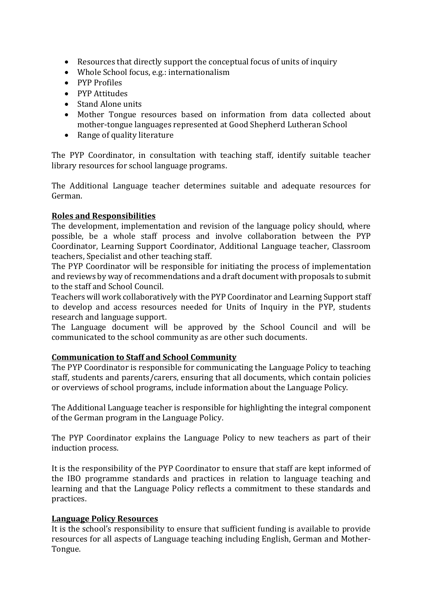- Resources that directly support the conceptual focus of units of inquiry
- Whole School focus, e.g.: internationalism
- PYP Profiles
- PYP Attitudes
- Stand Alone units
- Mother Tongue resources based on information from data collected about mother-tongue languages represented at Good Shepherd Lutheran School
- Range of quality literature

The PYP Coordinator, in consultation with teaching staff, identify suitable teacher library resources for school language programs.

The Additional Language teacher determines suitable and adequate resources for German.

# **Roles and Responsibilities**

The development, implementation and revision of the language policy should, where possible, be a whole staff process and involve collaboration between the PYP Coordinator, Learning Support Coordinator, Additional Language teacher, Classroom teachers, Specialist and other teaching staff.

The PYP Coordinator will be responsible for initiating the process of implementation and reviews by way of recommendations and a draft document with proposals to submit to the staff and School Council.

Teachers will work collaboratively with the PYP Coordinator and Learning Support staff to develop and access resources needed for Units of Inquiry in the PYP, students research and language support.

The Language document will be approved by the School Council and will be communicated to the school community as are other such documents.

# **Communication to Staff and School Community**

The PYP Coordinator is responsible for communicating the Language Policy to teaching staff, students and parents/carers, ensuring that all documents, which contain policies or overviews of school programs, include information about the Language Policy.

The Additional Language teacher is responsible for highlighting the integral component of the German program in the Language Policy.

The PYP Coordinator explains the Language Policy to new teachers as part of their induction process.

It is the responsibility of the PYP Coordinator to ensure that staff are kept informed of the IBO programme standards and practices in relation to language teaching and learning and that the Language Policy reflects a commitment to these standards and practices.

# **Language Policy Resources**

It is the school's responsibility to ensure that sufficient funding is available to provide resources for all aspects of Language teaching including English, German and Mother-Tongue.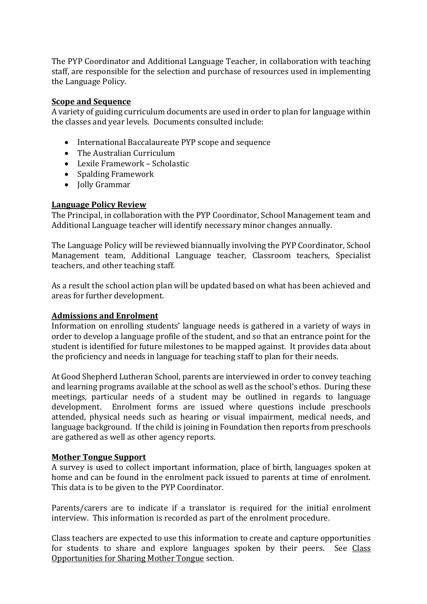The PYP Coordinator and Additional Language Teacher, in collaboration with teaching staff, are responsible for the selection and purchase of resources used in implementing the Language Policy.

#### **Scope and Sequence**

A variety of guiding curriculum documents are used in order to plan for language within the classes and year levels. Documents consulted include:

- International Baccalaureate PYP scope and sequence
- The Australian Curriculum
- Lexile Framework Scholastic
- Spalding Framework
- Jolly Grammar

# **Language Policy Review**

The Principal, in collaboration with the PYP Coordinator, School Management team and Additional Language teacher will identify necessary minor changes annually.

The Language Policy will be reviewed biannually involving the PYP Coordinator, School Management team, Additional Language teacher, Classroom teachers, Specialist teachers, and other teaching staff.

As a result the school action plan will be updated based on what has been achieved and areas for further development.

# **Admissions and Enrolment**

Information on enrolling students' language needs is gathered in a variety of ways in order to develop a language profile of the student, and so that an entrance point for the student is identified for future milestones to be mapped against. It provides data about the proficiency and needs in language for teaching staff to plan for their needs.

At Good Shepherd Lutheran School, parents are interviewed in order to convey teaching and learning programs available at the school as well as the school's ethos. During these meetings, particular needs of a student may be outlined in regards to language development. Enrolment forms are issued where questions include preschools attended, physical needs such as hearing or visual impairment, medical needs, and language background. If the child is joining in Foundation then reports from preschools are gathered as well as other agency reports.

# **Mother Tongue Support**

A survey is used to collect important information, place of birth, languages spoken at home and can be found in the enrolment pack issued to parents at time of enrolment. This data is to be given to the PYP Coordinator.

Parents/carers are to indicate if a translator is required for the initial enrolment interview. This information is recorded as part of the enrolment procedure.

Class teachers are expected to use this information to create and capture opportunities for students to share and explore languages spoken by their peers. See Class Opportunities for Sharing Mother Tongue section.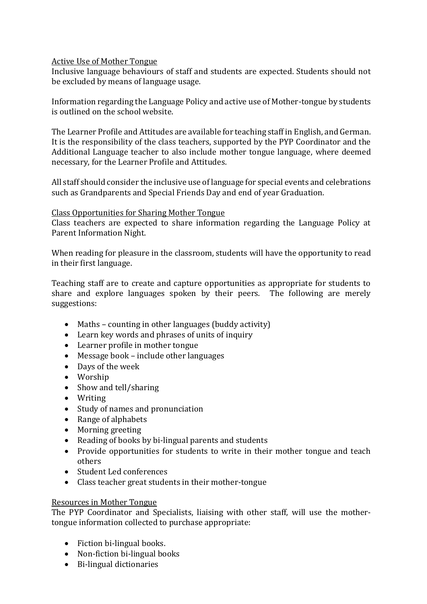# Active Use of Mother Tongue

Inclusive language behaviours of staff and students are expected. Students should not be excluded by means of language usage.

Information regarding the Language Policy and active use of Mother-tongue by students is outlined on the school website.

The Learner Profile and Attitudes are available for teaching staff in English, and German. It is the responsibility of the class teachers, supported by the PYP Coordinator and the Additional Language teacher to also include mother tongue language, where deemed necessary, for the Learner Profile and Attitudes.

All staff should consider the inclusive use of language for special events and celebrations such as Grandparents and Special Friends Day and end of year Graduation.

### Class Opportunities for Sharing Mother Tongue

Class teachers are expected to share information regarding the Language Policy at Parent Information Night.

When reading for pleasure in the classroom, students will have the opportunity to read in their first language.

Teaching staff are to create and capture opportunities as appropriate for students to share and explore languages spoken by their peers. The following are merely suggestions:

- Maths counting in other languages (buddy activity)
- Learn key words and phrases of units of inquiry
- Learner profile in mother tongue
- Message book include other languages
- Days of the week
- Worship
- Show and tell/sharing
- Writing
- Study of names and pronunciation
- Range of alphabets
- Morning greeting
- Reading of books by bi-lingual parents and students
- Provide opportunities for students to write in their mother tongue and teach others
- Student Led conferences
- Class teacher great students in their mother-tongue

### Resources in Mother Tongue

The PYP Coordinator and Specialists, liaising with other staff, will use the mothertongue information collected to purchase appropriate:

- Fiction bi-lingual books.
- Non-fiction bi-lingual books
- Bi-lingual dictionaries